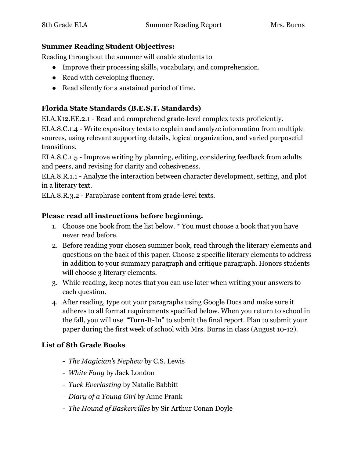#### **Summer Reading Student Objectives:**

Reading throughout the summer will enable students to

- Improve their processing skills, vocabulary, and comprehension.
- Read with developing fluency.
- Read silently for a sustained period of time.

## **Florida State Standards (B.E.S.T. Standards)**

ELA.K12.EE.2.1 - Read and comprehend grade-level complex texts proficiently.

ELA.8.C.1.4 - Write expository texts to explain and analyze information from multiple sources, using relevant supporting details, logical organization, and varied purposeful transitions.

ELA.8.C.1.5 - Improve writing by planning, editing, considering feedback from adults and peers, and revising for clarity and cohesiveness.

ELA.8.R.1.1 - Analyze the interaction between character development, setting, and plot in a literary text.

ELA.8.R.3.2 - Paraphrase content from grade-level texts.

### **Please read all instructions before beginning.**

- 1. Choose one book from the list below. \* You must choose a book that you have never read before.
- 2. Before reading your chosen summer book, read through the literary elements and questions on the back of this paper. Choose 2 specific literary elements to address in addition to your summary paragraph and critique paragraph. Honors students will choose 3 literary elements.
- 3. While reading, keep notes that you can use later when writing your answers to each question.
- 4. After reading, type out your paragraphs using Google Docs and make sure it adheres to all format requirements specified below. When you return to school in the fall, you will use "Turn-It-In" to submit the final report. Plan to submit your paper during the first week of school with Mrs. Burns in class (August 10-12).

### **List of 8th Grade Books**

- *The Magician's Nephew* by C.S. Lewis
- *White Fang* by Jack London
- *Tuck Everlasting* by Natalie Babbitt
- *Diary of a Young Girl* by Anne Frank
- *The Hound of Baskervilles* by Sir Arthur Conan Doyle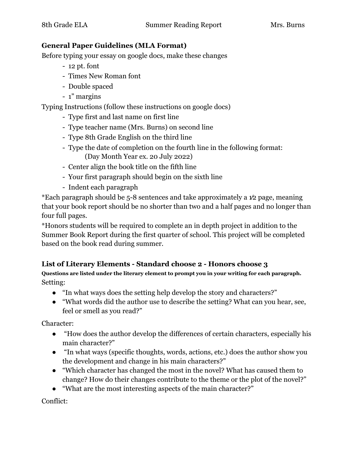#### **General Paper Guidelines (MLA Format)**

Before typing your essay on google docs, make these changes

- 12 pt. font
- Times New Roman font
- Double spaced
- 1" margins

Typing Instructions (follow these instructions on google docs)

- Type first and last name on first line
- Type teacher name (Mrs. Burns) on second line
- Type 8th Grade English on the third line
- Type the date of completion on the fourth line in the following format: (Day Month Year ex. 20 July 2022)
- Center align the book title on the fifth line
- Your first paragraph should begin on the sixth line
- Indent each paragraph

\*Each paragraph should be 5-8 sentences and take approximately a 1⁄2 page, meaning that your book report should be no shorter than two and a half pages and no longer than four full pages.

\*Honors students will be required to complete an in depth project in addition to the Summer Book Report during the first quarter of school. This project will be completed based on the book read during summer.

#### **List of Literary Elements - Standard choose 2 - Honors choose 3**

**Questions are listed under the literary element to prompt you in your writing for each paragraph.** Setting:

- "In what ways does the setting help develop the story and characters?"
- "What words did the author use to describe the setting? What can you hear, see, feel or smell as you read?"

Character:

- "How does the author develop the differences of certain characters, especially his main character?"
- "In what ways (specific thoughts, words, actions, etc.) does the author show you the development and change in his main characters?"
- "Which character has changed the most in the novel? What has caused them to change? How do their changes contribute to the theme or the plot of the novel?"
- "What are the most interesting aspects of the main character?"

Conflict: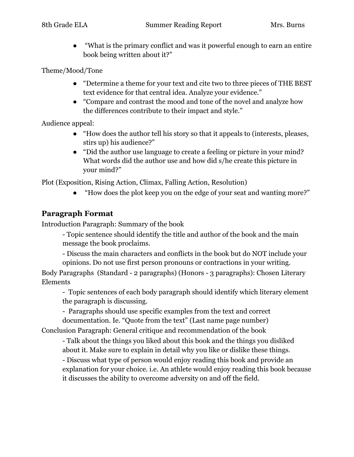● "What is the primary conflict and was it powerful enough to earn an entire book being written about it?"

Theme/Mood/Tone

- "Determine a theme for your text and cite two to three pieces of THE BEST text evidence for that central idea. Analyze your evidence."
- "Compare and contrast the mood and tone of the novel and analyze how the differences contribute to their impact and style."

Audience appeal:

- "How does the author tell his story so that it appeals to (interests, pleases, stirs up) his audience?"
- "Did the author use language to create a feeling or picture in your mind? What words did the author use and how did s/he create this picture in your mind?"

Plot (Exposition, Rising Action, Climax, Falling Action, Resolution)

"How does the plot keep you on the edge of your seat and wanting more?"

# **Paragraph Format**

Introduction Paragraph: Summary of the book

- Topic sentence should identify the title and author of the book and the main message the book proclaims.

- Discuss the main characters and conflicts in the book but do NOT include your opinions. Do not use first person pronouns or contractions in your writing.

Body Paragraphs (Standard - 2 paragraphs) (Honors - 3 paragraphs): Chosen Literary Elements

- Topic sentences of each body paragraph should identify which literary element the paragraph is discussing.

- Paragraphs should use specific examples from the text and correct documentation. Ie. "Quote from the text" (Last name page number)

Conclusion Paragraph: General critique and recommendation of the book

- Talk about the things you liked about this book and the things you disliked about it. Make sure to explain in detail why you like or dislike these things.

- Discuss what type of person would enjoy reading this book and provide an explanation for your choice. i.e. An athlete would enjoy reading this book because it discusses the ability to overcome adversity on and off the field.